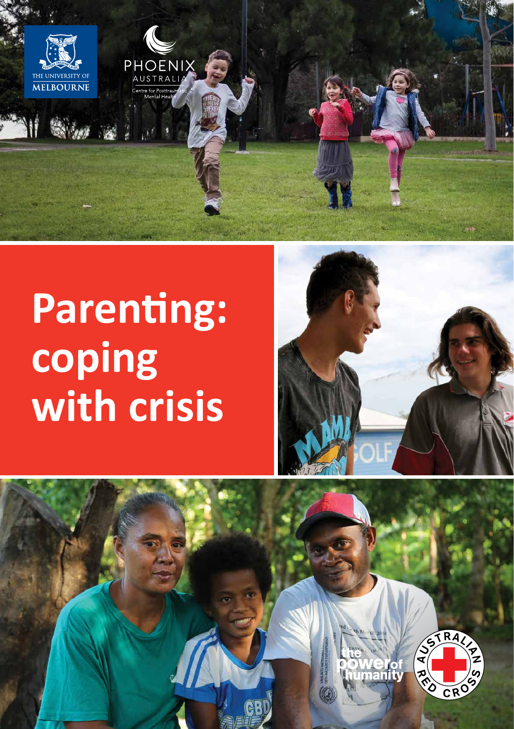

# **Parenting: coping with crisis**



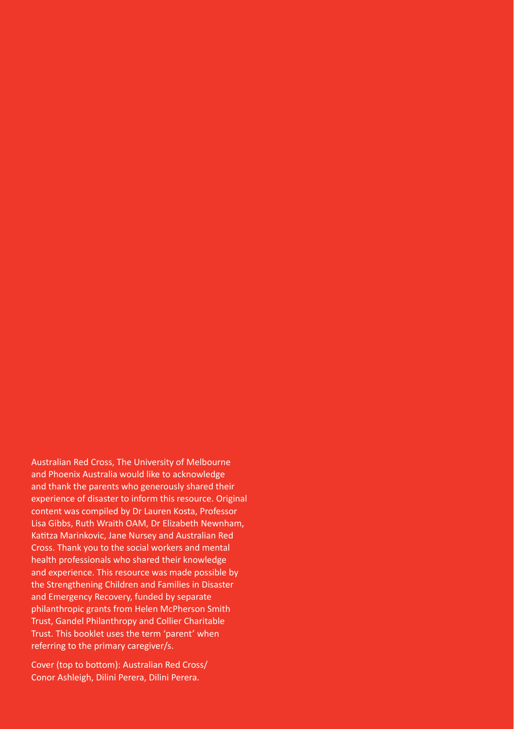Australian Red Cross, The University of Melbourne and Phoenix Australia would like to acknowledge and thank the parents who generously shared their experience of disaster to inform this resource. Original content was compiled by Dr Lauren Kosta, Professor Lisa Gibbs, Ruth Wraith OAM, Dr Elizabeth Newnham, Katitza Marinkovic, Jane Nursey and Australian Red Cross. Thank you to the social workers and mental health professionals who shared their knowledge and experience. This resource was made possible by the Strengthening Children and Families in Disaster and Emergency Recovery, funded by separate philanthropic grants from Helen McPherson Smith Trust, Gandel Philanthropy and Collier Charitable Trust. This booklet uses the term 'parent' when referring to the primary caregiver/s.

Cover (top to bottom): Australian Red Cross/ Conor Ashleigh, Dilini Perera, Dilini Perera.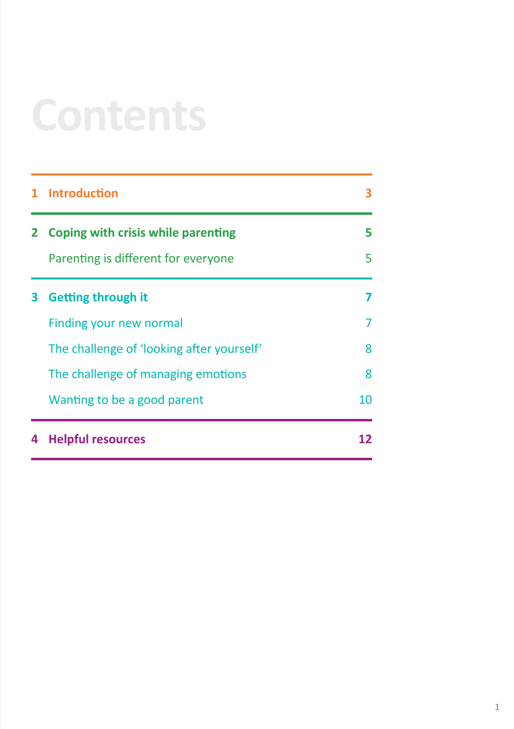# **Contents**

|   | <b>Introduction</b>                       |    |
|---|-------------------------------------------|----|
|   | Coping with crisis while parenting        | 5  |
|   | Parenting is different for everyone       | 5  |
| з | <b>Getting through it</b>                 |    |
|   | Finding your new normal                   |    |
|   | The challenge of 'looking after yourself' | 8  |
|   | The challenge of managing emotions        | 8  |
|   | Wanting to be a good parent               | 10 |
| 4 | <b>Helpful resources</b>                  | 12 |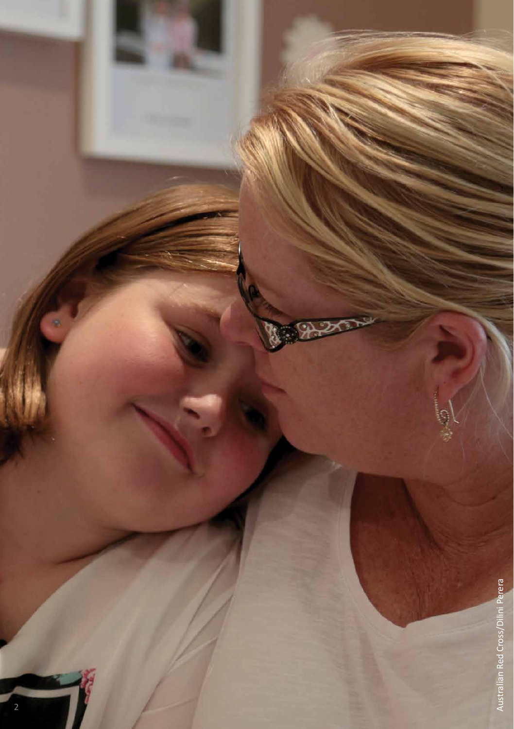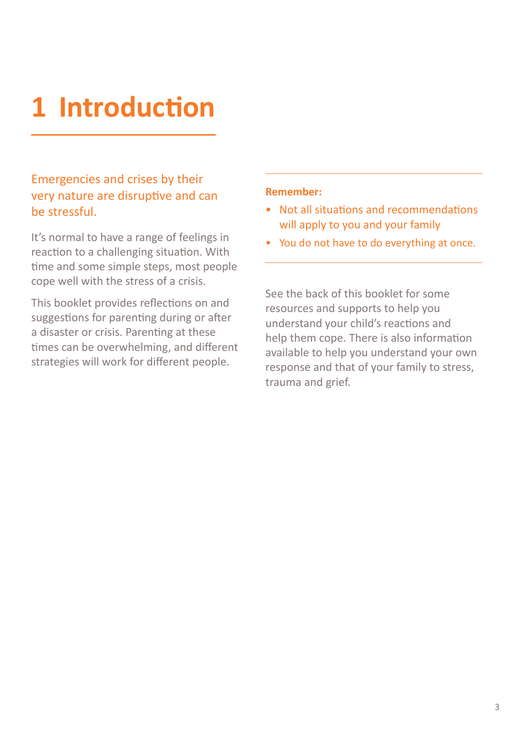# **1 Introduction**

# Emergencies and crises by their very nature are disruptive and can be stressful.

It's normal to have a range of feelings in reaction to a challenging situation. With time and some simple steps, most people cope well with the stress of a crisis.

This booklet provides reflections on and suggestions for parenting during or after a disaster or crisis. Parenting at these times can be overwhelming, and different strategies will work for different people.

### **Remember:**

- Not all situations and recommendations will apply to you and your family
- You do not have to do everything at once.

See the back of this booklet for some resources and supports to help you understand your child's reactions and help them cope. There is also information available to help you understand your own response and that of your family to stress, trauma and grief.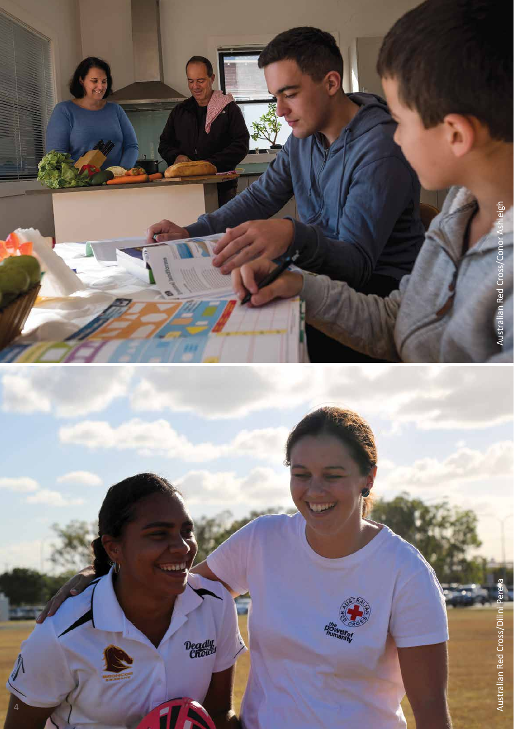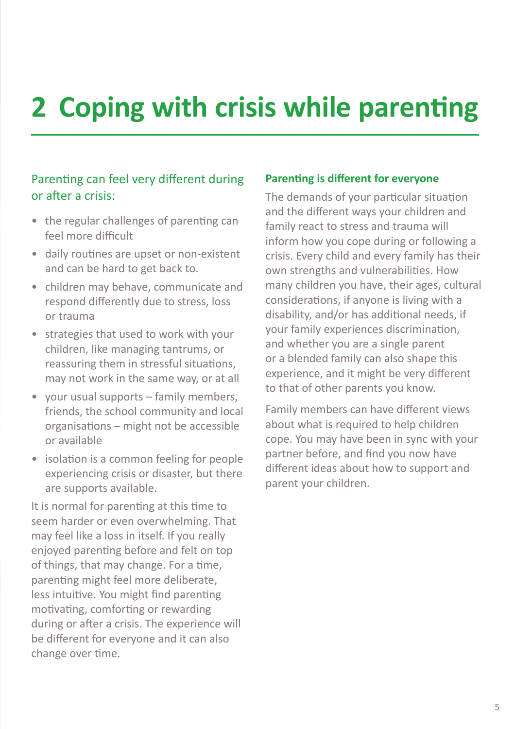# **2 Coping with crisis while parenting**

# Parenting can feel very different during or after a crisis:

- the regular challenges of parenting can feel more difficult
- daily routines are upset or non-existent and can be hard to get back to.
- children may behave, communicate and respond differently due to stress, loss or trauma
- strategies that used to work with your children, like managing tantrums, or reassuring them in stressful situations, may not work in the same way, or at all
- your usual supports family members, friends, the school community and local organisations – might not be accessible or available
- isolation is a common feeling for people experiencing crisis or disaster, but there are supports available.

It is normal for parenting at this time to seem harder or even overwhelming. That may feel like a loss in itself. If you really enjoyed parenting before and felt on top of things, that may change. For a time, parenting might feel more deliberate, less intuitive. You might find parenting motivating, comforting or rewarding during or after a crisis. The experience will be different for everyone and it can also change over time.

## **Parenting is different for everyone**

The demands of your particular situation and the different ways your children and family react to stress and trauma will inform how you cope during or following a crisis. Every child and every family has their own strengths and vulnerabilities. How many children you have, their ages, cultural considerations, if anyone is living with a disability, and/or has additional needs, if your family experiences discrimination, and whether you are a single parent or a blended family can also shape this experience, and it might be very different to that of other parents you know.

Family members can have different views about what is required to help children cope. You may have been in sync with your partner before, and find you now have different ideas about how to support and parent your children.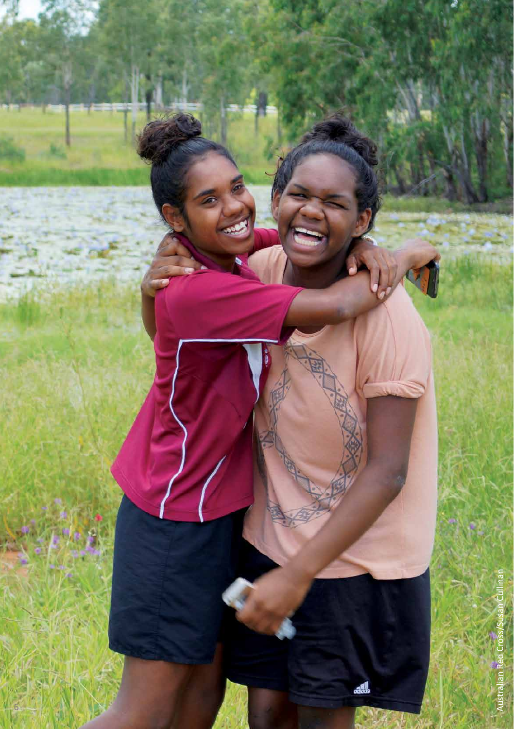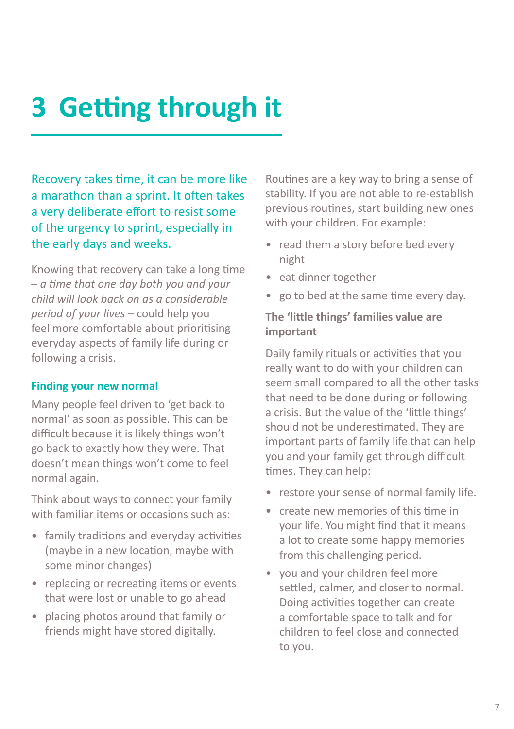# **3 Getting through it**

Recovery takes time, it can be more like a marathon than a sprint. It often takes a very deliberate effort to resist some of the urgency to sprint, especially in the early days and weeks.

Knowing that recovery can take a long time – *a time that one day both you and your child will look back on as a considerable period of your lives* – could help you feel more comfortable about prioritising everyday aspects of family life during or following a crisis.

### **Finding your new normal**

Many people feel driven to 'get back to normal' as soon as possible. This can be difficult because it is likely things won't go back to exactly how they were. That doesn't mean things won't come to feel normal again.

Think about ways to connect your family with familiar items or occasions such as:

- family traditions and everyday activities (maybe in a new location, maybe with some minor changes)
- replacing or recreating items or events that were lost or unable to go ahead
- placing photos around that family or friends might have stored digitally.

Routines are a key way to bring a sense of stability. If you are not able to re-establish previous routines, start building new ones with your children. For example:

- read them a story before bed every night
- eat dinner together
- go to bed at the same time every day.

# **The 'little things' families value are important**

Daily family rituals or activities that you really want to do with your children can seem small compared to all the other tasks that need to be done during or following a crisis. But the value of the 'little things' should not be underestimated. They are important parts of family life that can help you and your family get through difficult times. They can help:

- restore your sense of normal family life.
- create new memories of this time in your life. You might find that it means a lot to create some happy memories from this challenging period.
- you and your children feel more settled, calmer, and closer to normal. Doing activities together can create a comfortable space to talk and for children to feel close and connected to you.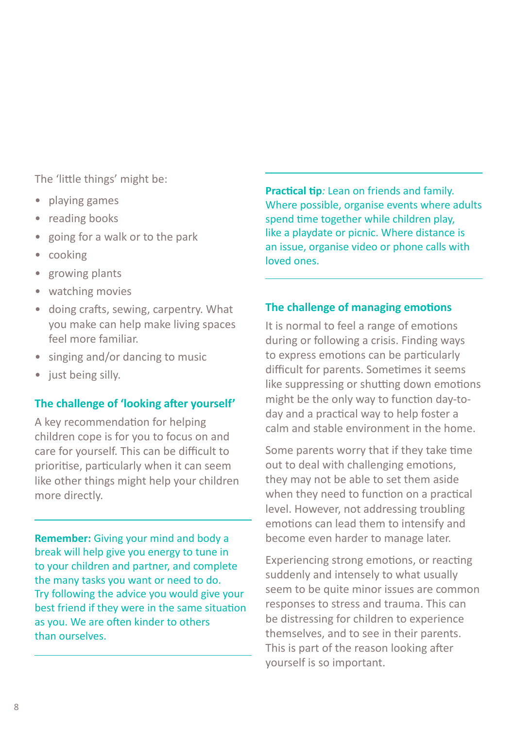The 'little things' might be:

- playing games
- reading books
- going for a walk or to the park
- cooking
- growing plants
- watching movies
- doing crafts, sewing, carpentry. What you make can help make living spaces feel more familiar.
- singing and/or dancing to music
- just being silly.

## **The challenge of 'looking after yourself'**

A key recommendation for helping children cope is for you to focus on and care for yourself. This can be difficult to prioritise, particularly when it can seem like other things might help your children more directly.

**Remember:** Giving your mind and body a break will help give you energy to tune in to your children and partner, and complete the many tasks you want or need to do. Try following the advice you would give your best friend if they were in the same situation as you. We are often kinder to others than ourselves.

**Practical tip***:* Lean on friends and family. Where possible, organise events where adults spend time together while children play, like a playdate or picnic. Where distance is an issue, organise video or phone calls with loved ones.

## **The challenge of managing emotions**

It is normal to feel a range of emotions during or following a crisis. Finding ways to express emotions can be particularly difficult for parents. Sometimes it seems like suppressing or shutting down emotions might be the only way to function day-today and a practical way to help foster a calm and stable environment in the home.

Some parents worry that if they take time out to deal with challenging emotions, they may not be able to set them aside when they need to function on a practical level. However, not addressing troubling emotions can lead them to intensify and become even harder to manage later.

Experiencing strong emotions, or reacting suddenly and intensely to what usually seem to be quite minor issues are common responses to stress and trauma. This can be distressing for children to experience themselves, and to see in their parents. This is part of the reason looking after yourself is so important.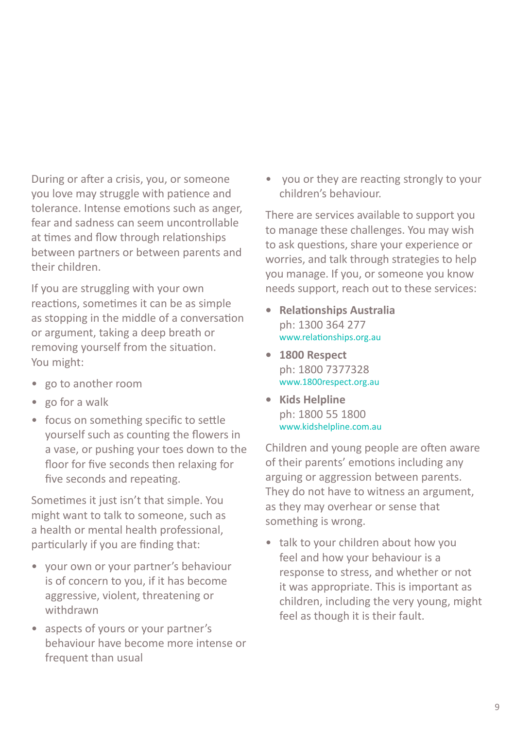During or after a crisis, you, or someone you love may struggle with patience and tolerance. Intense emotions such as anger, fear and sadness can seem uncontrollable at times and flow through relationships between partners or between parents and their children.

If you are struggling with your own reactions, sometimes it can be as simple as stopping in the middle of a conversation or argument, taking a deep breath or removing yourself from the situation. You might:

- go to another room
- go for a walk
- focus on something specific to settle yourself such as counting the flowers in a vase, or pushing your toes down to the floor for five seconds then relaxing for five seconds and repeating.

Sometimes it just isn't that simple. You might want to talk to someone, such as a health or mental health professional, particularly if you are finding that:

- your own or your partner's behaviour is of concern to you, if it has become aggressive, violent, threatening or withdrawn
- aspects of yours or your partner's behaviour have become more intense or frequent than usual

• you or they are reacting strongly to your children's behaviour.

There are services available to support you to manage these challenges. You may wish to ask questions, share your experience or worries, and talk through strategies to help you manage. If you, or someone you know needs support, reach out to these services:

- **• Relationships Australia**  ph: 1300 364 277 [www.relationships.org.au](http://www.relationships.org.au)
- **• 1800 Respect**  ph: 1800 7377328 [www.1800respect.org.au](http://www.1800respect.org.au)
- **• Kids Helpline**  ph: 1800 55 1800 www.[kidshelpline.com.au](http://kidshelpline.com.au)

Children and young people are often aware of their parents' emotions including any arguing or aggression between parents. They do not have to witness an argument, as they may overhear or sense that something is wrong.

• talk to your children about how you feel and how your behaviour is a response to stress, and whether or not it was appropriate. This is important as children, including the very young, might feel as though it is their fault.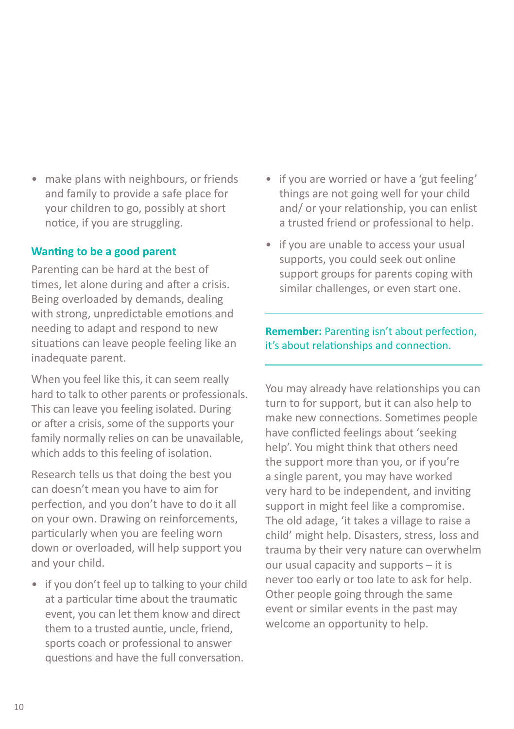• make plans with neighbours, or friends and family to provide a safe place for your children to go, possibly at short notice, if you are struggling.

### **Wanting to be a good parent**

Parenting can be hard at the best of times, let alone during and after a crisis. Being overloaded by demands, dealing with strong, unpredictable emotions and needing to adapt and respond to new situations can leave people feeling like an inadequate parent.

When you feel like this, it can seem really hard to talk to other parents or professionals. This can leave you feeling isolated. During or after a crisis, some of the supports your family normally relies on can be unavailable, which adds to this feeling of isolation.

Research tells us that doing the best you can doesn't mean you have to aim for perfection, and you don't have to do it all on your own. Drawing on reinforcements, particularly when you are feeling worn down or overloaded, will help support you and your child.

• if you don't feel up to talking to your child at a particular time about the traumatic event, you can let them know and direct them to a trusted auntie, uncle, friend, sports coach or professional to answer questions and have the full conversation.

- if you are worried or have a 'gut feeling' things are not going well for your child and/ or your relationship, you can enlist a trusted friend or professional to help.
- if you are unable to access your usual supports, you could seek out online support groups for parents coping with similar challenges, or even start one.

# **Remember:** Parenting isn't about perfection, it's about relationships and connection.

You may already have relationships you can turn to for support, but it can also help to make new connections. Sometimes people have conflicted feelings about 'seeking help'. You might think that others need the support more than you, or if you're a single parent, you may have worked very hard to be independent, and inviting support in might feel like a compromise. The old adage, 'it takes a village to raise a child' might help. Disasters, stress, loss and trauma by their very nature can overwhelm our usual capacity and supports – it is never too early or too late to ask for help. Other people going through the same event or similar events in the past may welcome an opportunity to help.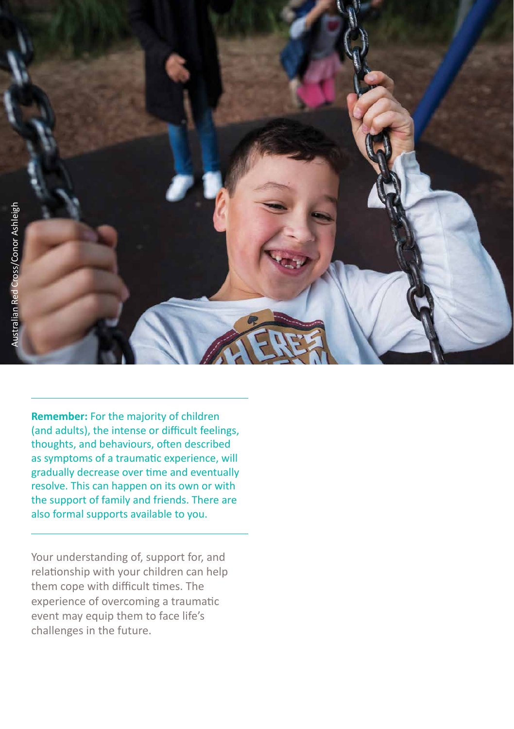

**Remember:** For the majority of children (and adults), the intense or difficult feelings, thoughts, and behaviours, often described as symptoms of a traumatic experience, will gradually decrease over time and eventually resolve. This can happen on its own or with the support of family and friends. There are also formal supports available to you.

Your understanding of, support for, and relationship with your children can help them cope with difficult times. The experience of overcoming a traumatic event may equip them to face life's challenges in the future.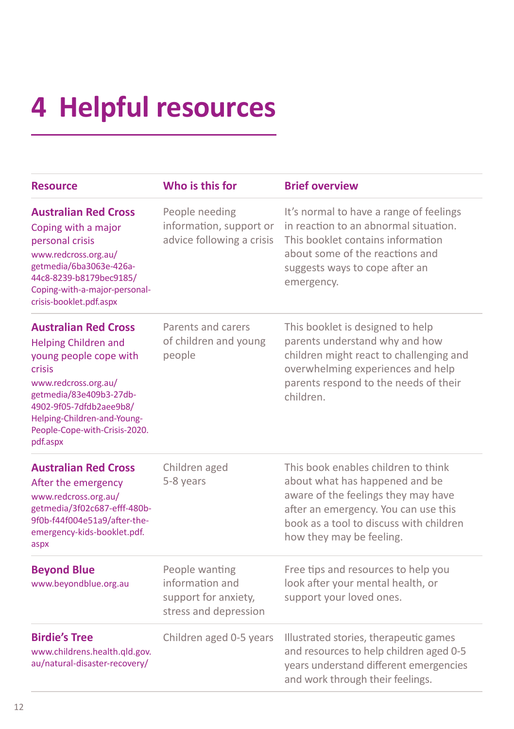# **4 Helpful resources**

| <b>Resource</b>                                                                                                                                                                                                                                          | Who is this for                                                                    | <b>Brief overview</b>                                                                                                                                                                                                       |
|----------------------------------------------------------------------------------------------------------------------------------------------------------------------------------------------------------------------------------------------------------|------------------------------------------------------------------------------------|-----------------------------------------------------------------------------------------------------------------------------------------------------------------------------------------------------------------------------|
| <b>Australian Red Cross</b><br>Coping with a major<br>personal crisis<br>www.redcross.org.au/<br>getmedia/6ba3063e-426a-<br>44c8-8239-b8179bec9185/<br>Coping-with-a-major-personal-<br>crisis-booklet.pdf.aspx                                          | People needing<br>information, support or<br>advice following a crisis             | It's normal to have a range of feelings<br>in reaction to an abnormal situation.<br>This booklet contains information<br>about some of the reactions and<br>suggests ways to cope after an<br>emergency.                    |
| <b>Australian Red Cross</b><br><b>Helping Children and</b><br>young people cope with<br>crisis<br>www.redcross.org.au/<br>getmedia/83e409b3-27db-<br>4902-9f05-7dfdb2aee9b8/<br>Helping-Children-and-Young-<br>People-Cope-with-Crisis-2020.<br>pdf.aspx | Parents and carers<br>of children and young<br>people                              | This booklet is designed to help<br>parents understand why and how<br>children might react to challenging and<br>overwhelming experiences and help<br>parents respond to the needs of their<br>children.                    |
| <b>Australian Red Cross</b><br>After the emergency<br>www.redcross.org.au/<br>getmedia/3f02c687-efff-480b-<br>9f0b-f44f004e51a9/after-the-<br>emergency-kids-booklet.pdf.<br>aspx                                                                        | Children aged<br>5-8 years                                                         | This book enables children to think<br>about what has happened and be<br>aware of the feelings they may have<br>after an emergency. You can use this<br>book as a tool to discuss with children<br>how they may be feeling. |
| <b>Beyond Blue</b><br>www.beyondblue.org.au                                                                                                                                                                                                              | People wanting<br>information and<br>support for anxiety,<br>stress and depression | Free tips and resources to help you<br>look after your mental health, or<br>support your loved ones.                                                                                                                        |
| <b>Birdie's Tree</b><br>www.childrens.health.qld.gov.<br>au/natural-disaster-recovery/                                                                                                                                                                   | Children aged 0-5 years                                                            | Illustrated stories, therapeutic games<br>and resources to help children aged 0-5<br>years understand different emergencies<br>and work through their feelings.                                                             |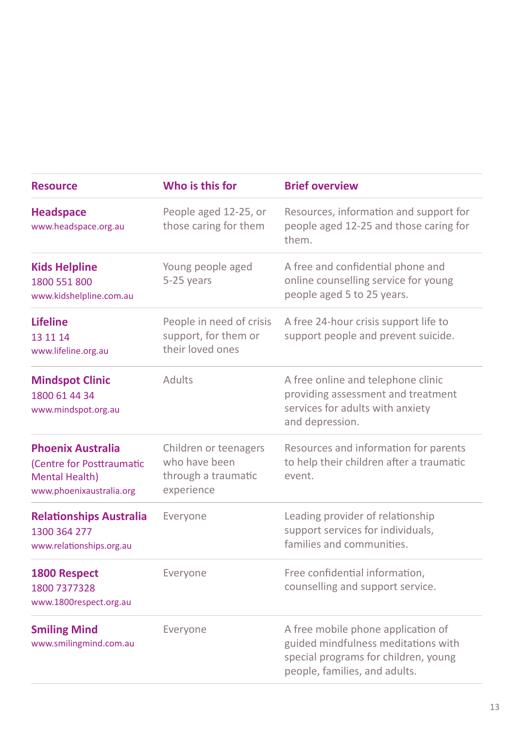| <b>Resource</b>                                                                                            | Who is this for                                                             | <b>Brief overview</b>                                                                                                                              |  |
|------------------------------------------------------------------------------------------------------------|-----------------------------------------------------------------------------|----------------------------------------------------------------------------------------------------------------------------------------------------|--|
| <b>Headspace</b><br>www.headspace.org.au                                                                   | People aged 12-25, or<br>those caring for them                              | Resources, information and support for<br>people aged 12-25 and those caring for<br>them.                                                          |  |
| <b>Kids Helpline</b><br>1800 551 800<br>www.kidshelpline.com.au                                            | Young people aged<br>5-25 years                                             | A free and confidential phone and<br>online counselling service for young<br>people aged 5 to 25 years.                                            |  |
| <b>Lifeline</b><br>13 11 14<br>www.lifeline.org.au                                                         | People in need of crisis<br>support, for them or<br>their loved ones        | A free 24-hour crisis support life to<br>support people and prevent suicide.                                                                       |  |
| <b>Mindspot Clinic</b><br>1800 61 44 34<br>www.mindspot.org.au                                             | Adults                                                                      | A free online and telephone clinic<br>providing assessment and treatment<br>services for adults with anxiety<br>and depression.                    |  |
| <b>Phoenix Australia</b><br>(Centre for Posttraumatic<br><b>Mental Health)</b><br>www.phoenixaustralia.org | Children or teenagers<br>who have been<br>through a traumatic<br>experience | Resources and information for parents<br>to help their children after a traumatic<br>event.                                                        |  |
| <b>Relationships Australia</b><br>1300 364 277<br>www.relationships.org.au                                 | Everyone                                                                    | Leading provider of relationship<br>support services for individuals,<br>families and communities.                                                 |  |
| <b>1800 Respect</b><br>1800 7377328<br>www.1800respect.org.au                                              | Everyone                                                                    | Free confidential information,<br>counselling and support service.                                                                                 |  |
| <b>Smiling Mind</b><br>www.smilingmind.com.au                                                              | Everyone                                                                    | A free mobile phone application of<br>guided mindfulness meditations with<br>special programs for children, young<br>people, families, and adults. |  |